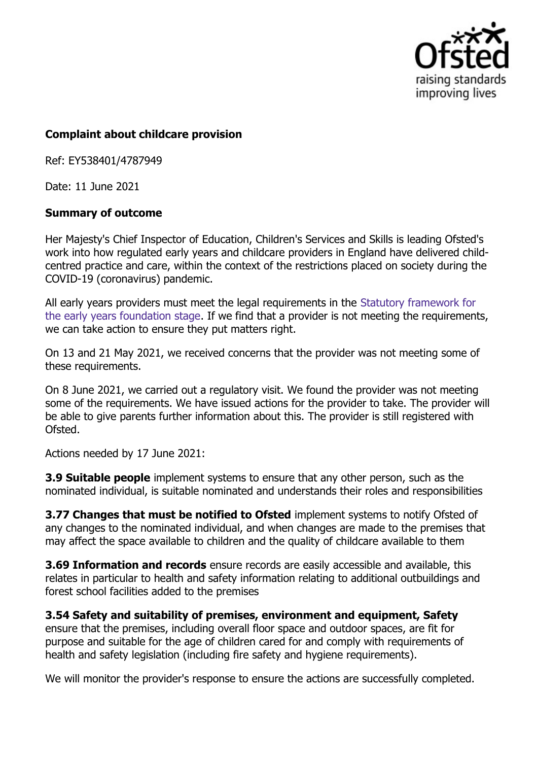

## **Complaint about childcare provision**

Ref: EY538401/4787949

Date: 11 June 2021

## **Summary of outcome**

Her Majesty's Chief Inspector of Education, Children's Services and Skills is leading Ofsted's work into how regulated early years and childcare providers in England have delivered childcentred practice and care, within the context of the restrictions placed on society during the COVID-19 (coronavirus) pandemic.

All early years providers must meet the legal requirements in the Statutory framework for the early years foundation stage. If we find that a provider is not meeting the requirements, we can take action to ensure they put matters right.

On 13 and 21 May 2021, we received concerns that the provider was not meeting some of these requirements.

On 8 June 2021, we carried out a regulatory visit. We found the provider was not meeting some of the requirements. We have issued actions for the provider to take. The provider will be able to give parents further information about this. The provider is still registered with Ofsted.

Actions needed by 17 June 2021:

**3.9 Suitable people** implement systems to ensure that any other person, such as the nominated individual, is suitable nominated and understands their roles and responsibilities

**3.77 Changes that must be notified to Ofsted** implement systems to notify Ofsted of any changes to the nominated individual, and when changes are made to the premises that may affect the space available to children and the quality of childcare available to them

**3.69 Information and records** ensure records are easily accessible and available, this relates in particular to health and safety information relating to additional outbuildings and forest school facilities added to the premises

**3.54 Safety and suitability of premises, environment and equipment, Safety** ensure that the premises, including overall floor space and outdoor spaces, are fit for purpose and suitable for the age of children cared for and comply with requirements of health and safety legislation (including fire safety and hygiene requirements).

We will monitor the provider's response to ensure the actions are successfully completed.